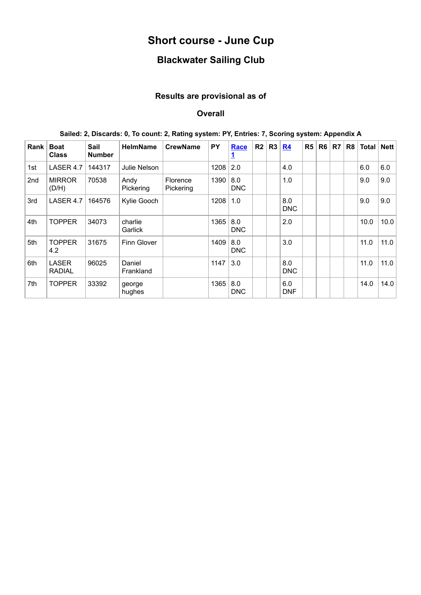# **Short course - June Cup**

## **Blackwater Sailing Club**

## **Results are provisional as of**

#### **Overall**

## **Sailed: 2, Discards: 0, To count: 2, Rating system: PY, Entries: 7, Scoring system: Appendix A**

| Rank | <b>Boat</b><br><b>Class</b>   | Sail<br><b>Number</b> | <b>HelmName</b>     | <b>CrewName</b>       | <b>PY</b> | <b>Race</b><br><u>1</u> | R <sub>2</sub> | R <sub>3</sub> | R4                | R <sub>5</sub> | R <sub>6</sub> | R7 | R <sub>8</sub> | Total | Nett |
|------|-------------------------------|-----------------------|---------------------|-----------------------|-----------|-------------------------|----------------|----------------|-------------------|----------------|----------------|----|----------------|-------|------|
| 1st  | LASER 4.7                     | 144317                | Julie Nelson        |                       | 1208      | 2.0                     |                |                | 4.0               |                |                |    |                | 6.0   | 6.0  |
| 2nd  | <b>MIRROR</b><br>(D/H)        | 70538                 | Andy<br>Pickering   | Florence<br>Pickering | 1390      | 8.0<br><b>DNC</b>       |                |                | 1.0               |                |                |    |                | 9.0   | 9.0  |
| 3rd  | LASER 4.7                     | 164576                | Kylie Gooch         |                       | 1208      | 1.0                     |                |                | 8.0<br><b>DNC</b> |                |                |    |                | 9.0   | 9.0  |
| 4th  | <b>TOPPER</b>                 | 34073                 | charlie<br>Garlick  |                       | 1365      | 8.0<br><b>DNC</b>       |                |                | 2.0               |                |                |    |                | 10.0  | 10.0 |
| 5th  | <b>TOPPER</b><br>4.2          | 31675                 | <b>Finn Glover</b>  |                       | 1409      | 8.0<br><b>DNC</b>       |                |                | 3.0               |                |                |    |                | 11.0  | 11.0 |
| 6th  | <b>LASER</b><br><b>RADIAL</b> | 96025                 | Daniel<br>Frankland |                       | 1147      | 3.0                     |                |                | 8.0<br><b>DNC</b> |                |                |    |                | 11.0  | 11.0 |
| 7th  | <b>TOPPER</b>                 | 33392                 | george<br>hughes    |                       | 1365      | 8.0<br><b>DNC</b>       |                |                | 6.0<br><b>DNF</b> |                |                |    |                | 14.0  | 14.0 |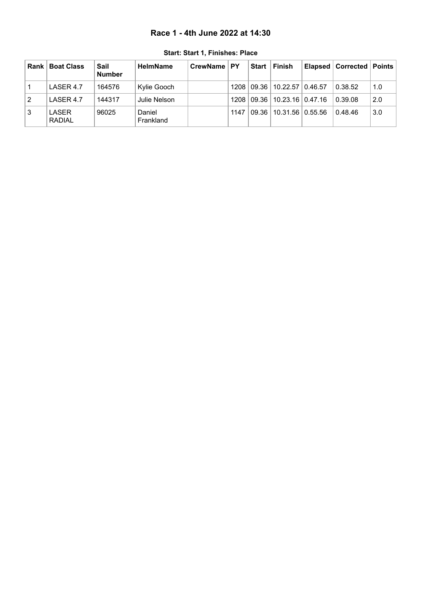#### **Race 1 - 4th June 2022 at 14:30**

<span id="page-1-0"></span>

| Rank I         | <b>Boat Class</b>      | Sail<br><b>Number</b> | <b>HelmName</b>     | CrewName   PY |      | Start   Finish                              | <b>Elapsed   Corrected   Points  </b> |     |
|----------------|------------------------|-----------------------|---------------------|---------------|------|---------------------------------------------|---------------------------------------|-----|
|                | LASER 4.7              | 164576                | Kylie Gooch         |               |      | 1208 09.36 10.22.57 0.46.57                 | 0.38.52                               | 1.0 |
| $\overline{2}$ | LASER 4.7              | 144317                | Julie Nelson        |               |      | 1208 09.36 10.23.16 0.47.16                 | 0.39.08                               | 2.0 |
| 3              | LASER<br><b>RADIAL</b> | 96025                 | Daniel<br>Frankland |               | 1147 | $\mid$ 09.36 $\mid$ 10.31.56 $\mid$ 0.55.56 | 0.48.46                               | 3.0 |

**Start: Start 1, Finishes: Place**